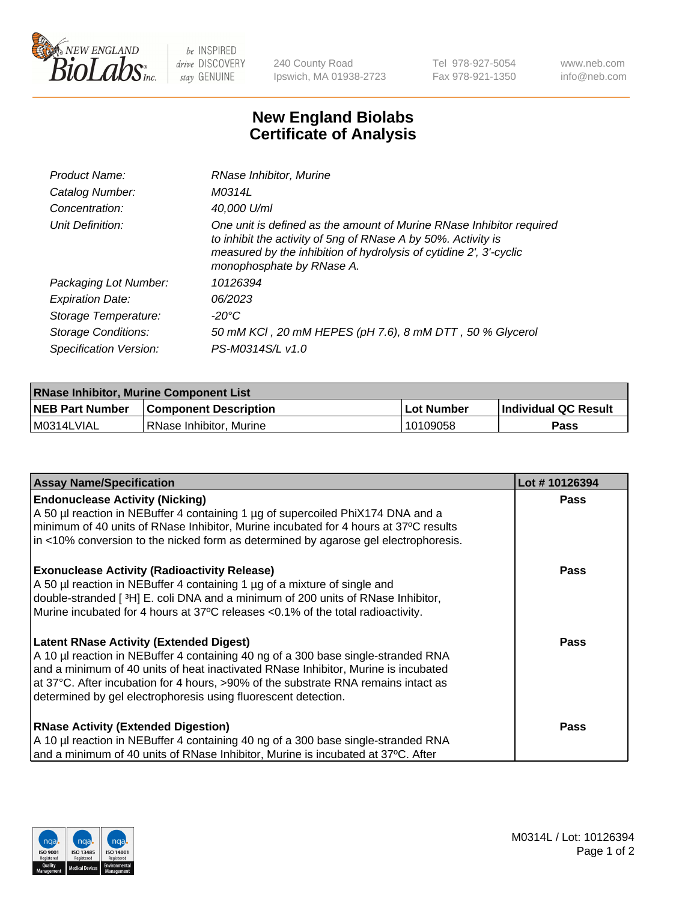

 $be$  INSPIRED drive DISCOVERY stay GENUINE

240 County Road Ipswich, MA 01938-2723 Tel 978-927-5054 Fax 978-921-1350 www.neb.com info@neb.com

## **New England Biolabs Certificate of Analysis**

| Product Name:           | RNase Inhibitor, Murine                                                                                                                                                                                                                  |
|-------------------------|------------------------------------------------------------------------------------------------------------------------------------------------------------------------------------------------------------------------------------------|
| Catalog Number:         | M0314L                                                                                                                                                                                                                                   |
| Concentration:          | 40,000 U/ml                                                                                                                                                                                                                              |
| Unit Definition:        | One unit is defined as the amount of Murine RNase Inhibitor required<br>to inhibit the activity of 5ng of RNase A by 50%. Activity is<br>measured by the inhibition of hydrolysis of cytidine 2', 3'-cyclic<br>monophosphate by RNase A. |
| Packaging Lot Number:   | 10126394                                                                                                                                                                                                                                 |
| <b>Expiration Date:</b> | 06/2023                                                                                                                                                                                                                                  |
| Storage Temperature:    | -20°C                                                                                                                                                                                                                                    |
| Storage Conditions:     | 50 mM KCI, 20 mM HEPES (pH 7.6), 8 mM DTT, 50 % Glycerol                                                                                                                                                                                 |
| Specification Version:  | PS-M0314S/L v1.0                                                                                                                                                                                                                         |

| <b>RNase Inhibitor, Murine Component List</b> |                              |            |                             |  |
|-----------------------------------------------|------------------------------|------------|-----------------------------|--|
| <b>NEB Part Number</b>                        | <b>Component Description</b> | Lot Number | <b>Individual QC Result</b> |  |
| M0314LVIAL                                    | RNase Inhibitor, Murine      | 10109058   | Pass                        |  |

| <b>Assay Name/Specification</b>                                                                                                                                         | Lot #10126394 |
|-------------------------------------------------------------------------------------------------------------------------------------------------------------------------|---------------|
| <b>Endonuclease Activity (Nicking)</b>                                                                                                                                  | Pass          |
| A 50 µl reaction in NEBuffer 4 containing 1 µg of supercoiled PhiX174 DNA and a<br>minimum of 40 units of RNase Inhibitor, Murine incubated for 4 hours at 37°C results |               |
| in <10% conversion to the nicked form as determined by agarose gel electrophoresis.                                                                                     |               |
| <b>Exonuclease Activity (Radioactivity Release)</b>                                                                                                                     | Pass          |
| A 50 µl reaction in NEBuffer 4 containing 1 µg of a mixture of single and                                                                                               |               |
| double-stranded [3H] E. coli DNA and a minimum of 200 units of RNase Inhibitor,<br>Murine incubated for 4 hours at 37°C releases <0.1% of the total radioactivity.      |               |
|                                                                                                                                                                         |               |
| <b>Latent RNase Activity (Extended Digest)</b>                                                                                                                          | <b>Pass</b>   |
| A 10 µl reaction in NEBuffer 4 containing 40 ng of a 300 base single-stranded RNA                                                                                       |               |
| and a minimum of 40 units of heat inactivated RNase Inhibitor, Murine is incubated                                                                                      |               |
| at 37°C. After incubation for 4 hours, >90% of the substrate RNA remains intact as<br>determined by gel electrophoresis using fluorescent detection.                    |               |
|                                                                                                                                                                         |               |
| <b>RNase Activity (Extended Digestion)</b>                                                                                                                              | Pass          |
| A 10 µl reaction in NEBuffer 4 containing 40 ng of a 300 base single-stranded RNA                                                                                       |               |
| and a minimum of 40 units of RNase Inhibitor, Murine is incubated at 37°C. After                                                                                        |               |